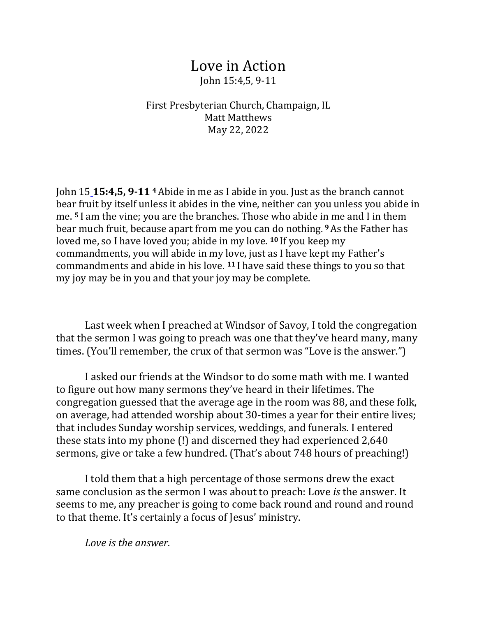## Love in Action John 15:4,5, 9-11

First Presbyterian Church, Champaign, IL Matt Matthews May 22, 2022

John 15 **15:4,5, 9-11 <sup>4</sup>**Abide in me as I abide in you. Just as the branch cannot bear fruit by itself unless it abides in the vine, neither can you unless you abide in me. **<sup>5</sup>**I am the vine; you are the branches. Those who abide in me and I in them bear much fruit, because apart from me you can do nothing.**<sup>9</sup>**As the Father has loved me, so I have loved you; abide in my love. **<sup>10</sup>** If you keep my commandments, you will abide in my love, just as I have kept my Father's commandments and abide in his love. **<sup>11</sup>** I have said these things to you so that my joy may be in you and that your joy may be complete.

 Last week when I preached at Windsor of Savoy, I told the congregation that the sermon I was going to preach was one that they've heard many, many times. (You'll remember, the crux of that sermon was "Love is the answer.")

 I asked our friends at the Windsor to do some math with me. I wanted to figure out how many sermons they've heard in their lifetimes. The congregation guessed that the average age in the room was 88, and these folk, on average, had attended worship about 30-times a year for their entire lives; that includes Sunday worship services, weddings, and funerals. I entered these stats into my phone (!) and discerned they had experienced 2,640 sermons, give or take a few hundred. (That's about 748 hours of preaching!)

 I told them that a high percentage of those sermons drew the exact same conclusion as the sermon I was about to preach: Love *is* the answer. It seems to me, any preacher is going to come back round and round and round to that theme. It's certainly a focus of Jesus' ministry.

*Love is the answer.*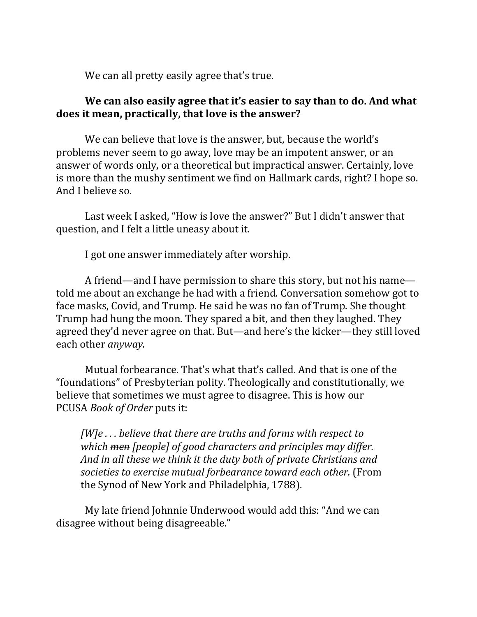We can all pretty easily agree that's true.

## **We can also easily agree that it's easier to say than to do. And what does it mean, practically, that love is the answer?**

 We can believe that love is the answer, but, because the world's problems never seem to go away, love may be an impotent answer, or an answer of words only, or a theoretical but impractical answer. Certainly, love is more than the mushy sentiment we find on Hallmark cards, right? I hope so. And I believe so.

 Last week I asked, "How is love the answer?" But I didn't answer that question, and I felt a little uneasy about it.

I got one answer immediately after worship.

 A friend—and I have permission to share this story, but not his name told me about an exchange he had with a friend. Conversation somehow got to face masks, Covid, and Trump. He said he was no fan of Trump. She thought Trump had hung the moon. They spared a bit, and then they laughed. They agreed they'd never agree on that. But—and here's the kicker—they still loved each other *anyway.*

Mutual forbearance. That's what that's called. And that is one of the "foundations" of Presbyterian polity. Theologically and constitutionally, we believe that sometimes we must agree to disagree. This is how our PCUSA *Book of Order* puts it:

*[W]e . . . believe that there are truths and forms with respect to which men [people] of good characters and principles may differ. And in all these we think it the duty both of private Christians and societies to exercise mutual forbearance toward each other.* (From the Synod of New York and Philadelphia, 1788).

 My late friend Johnnie Underwood would add this: "And we can disagree without being disagreeable."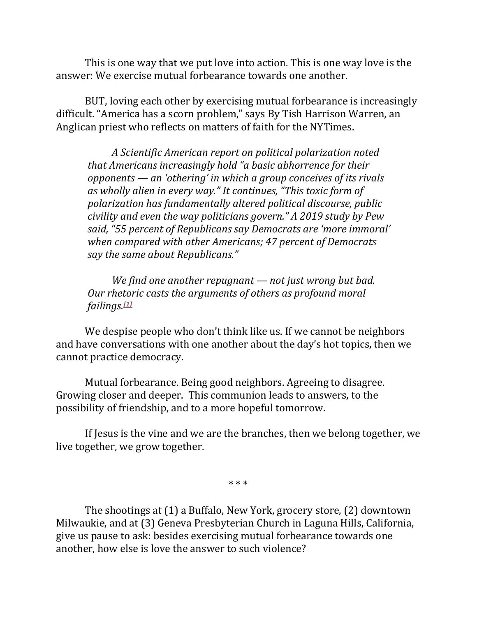This is one way that we put love into action. This is one way love is the answer: We exercise mutual forbearance towards one another.

 BUT, loving each other by exercising mutual forbearance is increasingly difficult. "America has a scorn problem," says By Tish Harrison Warren, an Anglican priest who reflects on matters of faith for the NYTimes.

 *A Scientific American report on political polarization noted that Americans increasingly hold "a basic abhorrence for their opponents — an 'othering' in which a group conceives of its rivals as wholly alien in every way." It continues, "This toxic form of polarization has fundamentally altered political discourse, public civility and even the way politicians govern." A 2019 study by Pew said, "55 percent of Republicans say Democrats are 'more immoral' when compared with other Americans; 47 percent of Democrats say the same about Republicans."*

 *We find one another repugnant — not just wrong but bad. Our rhetoric casts the arguments of others as profound moral failings.[1]*

 We despise people who don't think like us. If we cannot be neighbors and have conversations with one another about the day's hot topics, then we cannot practice democracy.

 Mutual forbearance. Being good neighbors. Agreeing to disagree. Growing closer and deeper. This communion leads to answers, to the possibility of friendship, and to a more hopeful tomorrow.

 If Jesus is the vine and we are the branches, then we belong together, we live together, we grow together.

\* \* \*

 The shootings at (1) a Buffalo, New York, grocery store, (2) downtown Milwaukie, and at (3) Geneva Presbyterian Church in Laguna Hills, California, give us pause to ask: besides exercising mutual forbearance towards one another, how else is love the answer to such violence?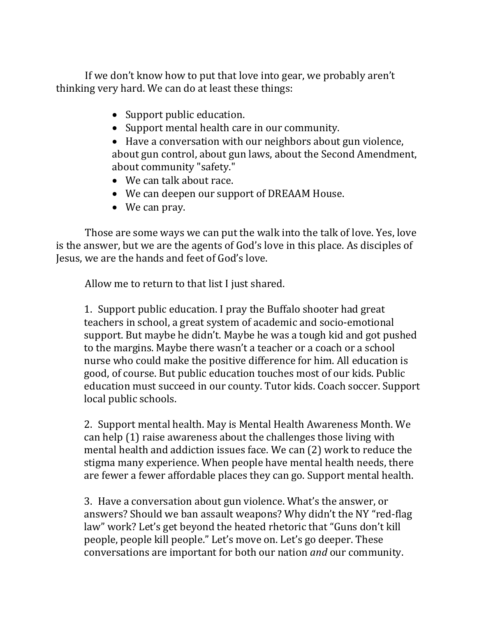If we don't know how to put that love into gear, we probably aren't thinking very hard. We can do at least these things:

- Support public education.
- Support mental health care in our community.

• Have a conversation with our neighbors about gun violence, about gun control, about gun laws, about the Second Amendment, about community "safety."

- We can talk about race.
- We can deepen our support of DREAAM House.
- We can pray.

 Those are some ways we can put the walk into the talk of love. Yes, love is the answer, but we are the agents of God's love in this place. As disciples of Jesus, we are the hands and feet of God's love.

Allow me to return to that list I just shared.

1. Support public education. I pray the Buffalo shooter had great teachers in school, a great system of academic and socio-emotional support. But maybe he didn't. Maybe he was a tough kid and got pushed to the margins. Maybe there wasn't a teacher or a coach or a school nurse who could make the positive difference for him. All education is good, of course. But public education touches most of our kids. Public education must succeed in our county. Tutor kids. Coach soccer. Support local public schools.

2. Support mental health. May is Mental Health Awareness Month. We can help (1) raise awareness about the challenges those living with mental health and addiction issues face. We can (2) work to reduce the stigma many experience. When people have mental health needs, there are fewer a fewer affordable places they can go. Support mental health.

3. Have a conversation about gun violence. What's the answer, or answers? Should we ban assault weapons? Why didn't the NY "red-flag law" work? Let's get beyond the heated rhetoric that "Guns don't kill people, people kill people." Let's move on. Let's go deeper. These conversations are important for both our nation *and* our community.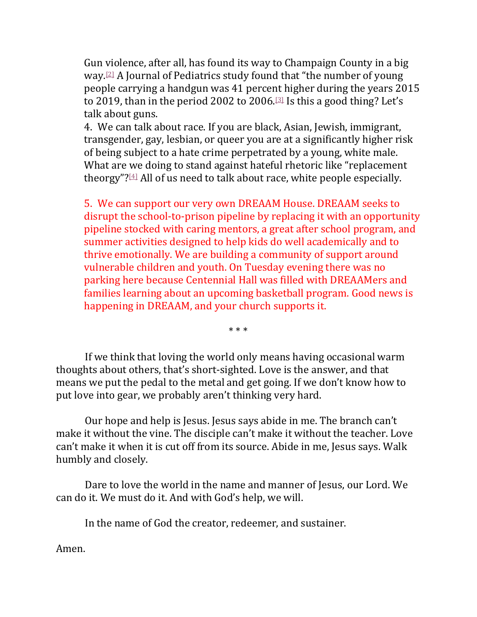Gun violence, after all, has found its way to Champaign County in a big way.[2] A Journal of Pediatrics study found that "the number of young people carrying a handgun was 41 percent higher during the years 2015 to 2019, than in the period 2002 to 2006.[3] Is this a good thing? Let's talk about guns.

4. We can talk about race. If you are black, Asian, Jewish, immigrant, transgender, gay, lesbian, or queer you are at a significantly higher risk of being subject to a hate crime perpetrated by a young, white male. What are we doing to stand against hateful rhetoric like "replacement theorgy"?[4] All of us need to talk about race, white people especially.

5. We can support our very own DREAAM House. DREAAM seeks to disrupt the school-to-prison pipeline by replacing it with an opportunity pipeline stocked with caring mentors, a great after school program, and summer activities designed to help kids do well academically and to thrive emotionally. We are building a community of support around vulnerable children and youth. On Tuesday evening there was no parking here because Centennial Hall was filled with DREAAMers and families learning about an upcoming basketball program. Good news is happening in DREAAM, and your church supports it.

\* \* \*

 If we think that loving the world only means having occasional warm thoughts about others, that's short-sighted. Love is the answer, and that means we put the pedal to the metal and get going. If we don't know how to put love into gear, we probably aren't thinking very hard.

 Our hope and help is Jesus. Jesus says abide in me. The branch can't make it without the vine. The disciple can't make it without the teacher. Love can't make it when it is cut off from its source. Abide in me, Jesus says. Walk humbly and closely.

 Dare to love the world in the name and manner of Jesus, our Lord. We can do it. We must do it. And with God's help, we will.

In the name of God the creator, redeemer, and sustainer.

Amen.